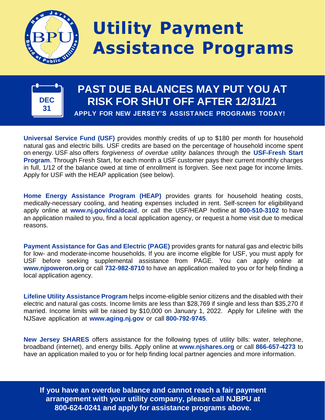

## **Utility Payment Assistance Programs**



## **PAST DUE BALANCES MAY PUT YOU AT RISK FOR SHUT OFF AFTER 12/31/21 APPLY FOR NEW JERSEY'S ASSISTANCE PROGRAMS TODAY!**

**Universal Service Fund (USF)** provides monthly credits of up to \$180 per month for household natural gas and electric bills. USF credits are based on the percentage of household income spent on energy. USF also offers *forgiveness of overdue utility balances* through the **USF-Fresh Start Program**. Through Fresh Start, for each month a USF customer pays their current monthly charges in full, 1/12 of the balance owed at time of enrollment is forgiven. See next page for income limits. Apply for USF with the HEAP application (see below).

**Home Energy Assistance Program (HEAP)** provides grants for household heating costs, medically-necessary cooling, and heating expenses included in rent. Self-screen for eligibilityand apply online at **[www.nj.gov/dca/dcaid](http://www.nj.gov/dca/dcaid)**, or call the USF/HEAP hotline at **800-510-3102** to have an application mailed to you, find a local application agency, or request a home visit due to medical reasons.

**Payment Assistance for Gas and Electric (PAGE)** provides grants for natural gas and electric bills for low- and moderate-income households. If you are income eligible for USF, you must apply for USF before seeking supplemental assistance from PAGE. You can apply online at **[www.njpoweron.org](http://www.njpoweron.org/)** or call **732-982-8710** to have an application mailed to you or for help finding a local application agency.

**Lifeline Utility Assistance Program** helps income-eligible senior citizens and the disabled with their electric and natural gas costs. Income limits are less than \$28,769 if single and less than \$35,270 if married. Income limits will be raised by \$10,000 on January 1, 2022. Apply for Lifeline with the NJSave application at **[www.aging.nj.gov](http://www.aging.nj.gov/)** or call **800-792-9745**.

**New Jersey SHARES** offers assistance for the following types of utility bills: water, telephone, broadband (internet), and energy bills. Apply online at **[www.njshares.org](http://www.njshares.org/)** or call **866-657-4273** to have an application mailed to you or for help finding local partner agencies and more information.

**If you have an overdue balance and cannot reach a fair payment arrangement with your utility company, please call NJBPU at 800-624-0241 and apply for assistance programs above.**